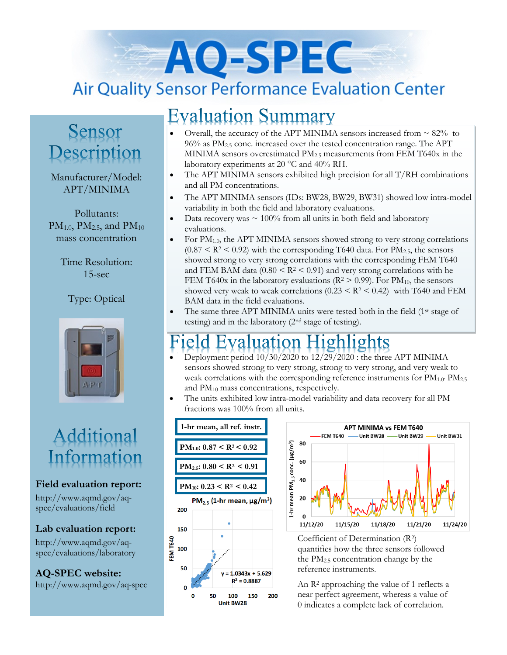# AO-SPEC **Air Quality Sensor Performance Evaluation Center**

## **Evaluation Summary**

### Sensor Description

Manufacturer/Model: APT/MINIMA

Pollutants:  $PM_{1.0}$ ,  $PM_{2.5}$ , and  $PM_{10}$ mass concentration

> Time Resolution: 15-sec

#### Type: Optical



# Additional Information

#### **Field evaluation report:**

http://www.aqmd.gov/aqspec/evaluations/field

**Lab evaluation report:**

http://www.aqmd.gov/aqspec/evaluations/laboratory

**AQ-SPEC website:**  http://www.aqmd.gov/aq-spec

#### Overall, the accuracy of the APT MINIMA sensors increased from  $\sim 82\%$  to  $96\%$  as PM<sub>2.5</sub> conc. increased over the tested concentration range. The APT MINIMA sensors overestimated PM2.5 measurements from FEM T640x in the laboratory experiments at 20 °C and 40% RH.

- The APT MINIMA sensors exhibited high precision for all  $T/RH$  combinations and all PM concentrations.
- The APT MINIMA sensors (IDs: BW28, BW29, BW31) showed low intra-model variability in both the field and laboratory evaluations.
- Data recovery was  $\sim 100\%$  from all units in both field and laboratory evaluations.
- For PM1.0, the APT MINIMA sensors showed strong to very strong correlations  $(0.87 < R<sup>2</sup> < 0.92)$  with the corresponding T640 data. For PM<sub>2.5</sub>, the sensors showed strong to very strong correlations with the corresponding FEM T640 and FEM BAM data  $(0.80 \leq R^2 \leq 0.91)$  and very strong correlations with he FEM T640x in the laboratory evaluations ( $R^2 > 0.99$ ). For PM<sub>10</sub>, the sensors showed very weak to weak correlations  $(0.23 \leq R^2 \leq 0.42)$  with T640 and FEM BAM data in the field evaluations.
- The same three APT MINIMA units were tested both in the field (1<sup>st</sup> stage of testing) and in the laboratory (2nd stage of testing).

# valuation Highlights

- Deployment period 10/30/2020 to 12/29/2020 : the three APT MINIMA sensors showed strong to very strong, strong to very strong, and very weak to weak correlations with the corresponding reference instruments for  $PM_{1.0}$ ,  $PM_{2.5}$ and PM<sup>10</sup> mass concentrations, respectively.
- The units exhibited low intra-model variability and data recovery for all PM fractions was 100% from all units.





Coefficient of Determination (R2) quantifies how the three sensors followed the PM2.5 concentration change by the reference instruments.

An R<sup>2</sup> approaching the value of 1 reflects a near perfect agreement, whereas a value of 0 indicates a complete lack of correlation.